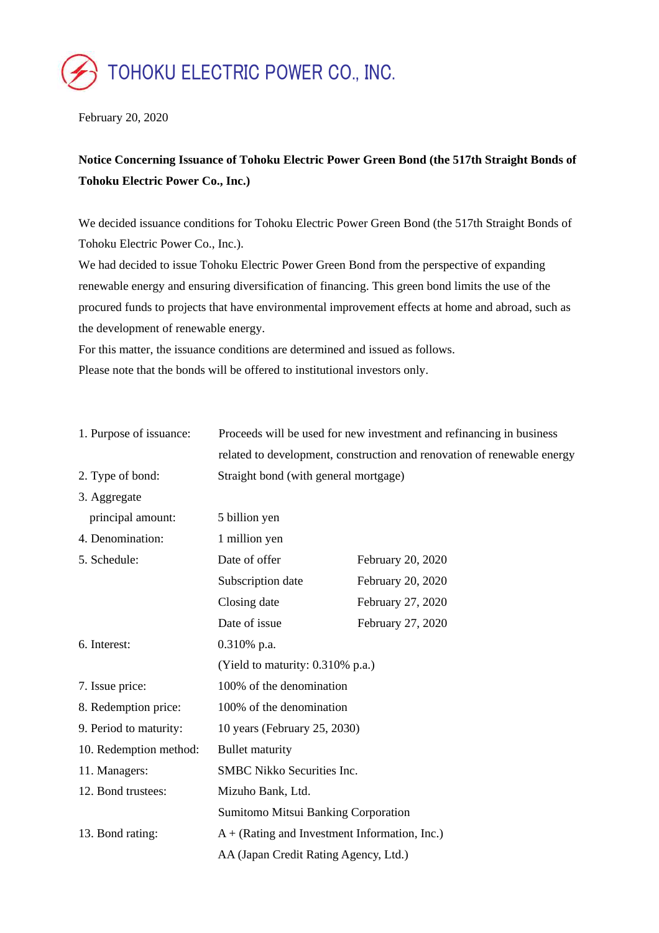

February 20, 2020

## **Notice Concerning Issuance of Tohoku Electric Power Green Bond (the 517th Straight Bonds of Tohoku Electric Power Co., Inc.)**

We decided issuance conditions for Tohoku Electric Power Green Bond (the 517th Straight Bonds of Tohoku Electric Power Co., Inc.).

We had decided to issue Tohoku Electric Power Green Bond from the perspective of expanding renewable energy and ensuring diversification of financing. This green bond limits the use of the procured funds to projects that have environmental improvement effects at home and abroad, such as the development of renewable energy.

For this matter, the issuance conditions are determined and issued as follows. Please note that the bonds will be offered to institutional investors only.

| 1. Purpose of issuance: | Proceeds will be used for new investment and refinancing in business    |                   |
|-------------------------|-------------------------------------------------------------------------|-------------------|
|                         | related to development, construction and renovation of renewable energy |                   |
| 2. Type of bond:        | Straight bond (with general mortgage)                                   |                   |
| 3. Aggregate            |                                                                         |                   |
| principal amount:       | 5 billion yen                                                           |                   |
| 4. Denomination:        | 1 million yen                                                           |                   |
| 5. Schedule:            | Date of offer                                                           | February 20, 2020 |
|                         | Subscription date                                                       | February 20, 2020 |
|                         | Closing date                                                            | February 27, 2020 |
|                         | Date of issue                                                           | February 27, 2020 |
| 6. Interest:            | $0.310\%$ p.a.                                                          |                   |
|                         | (Yield to maturity: 0.310% p.a.)                                        |                   |
| 7. Issue price:         | 100% of the denomination                                                |                   |
| 8. Redemption price:    | 100% of the denomination                                                |                   |
| 9. Period to maturity:  | 10 years (February 25, 2030)                                            |                   |
| 10. Redemption method:  | <b>Bullet maturity</b>                                                  |                   |
| 11. Managers:           | SMBC Nikko Securities Inc.                                              |                   |
| 12. Bond trustees:      | Mizuho Bank, Ltd.                                                       |                   |
|                         | Sumitomo Mitsui Banking Corporation                                     |                   |
| 13. Bond rating:        | $A + (Rating and Investment Information, Inc.)$                         |                   |
|                         | AA (Japan Credit Rating Agency, Ltd.)                                   |                   |